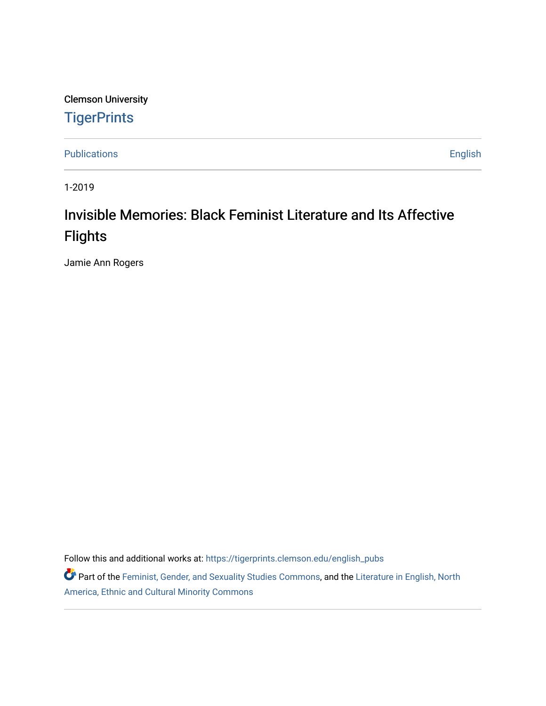Clemson University **TigerPrints** 

[Publications](https://tigerprints.clemson.edu/english_pubs) **English** 

1-2019

# Invisible Memories: Black Feminist Literature and Its Affective Flights

Jamie Ann Rogers

Follow this and additional works at: [https://tigerprints.clemson.edu/english\\_pubs](https://tigerprints.clemson.edu/english_pubs?utm_source=tigerprints.clemson.edu%2Fenglish_pubs%2F47&utm_medium=PDF&utm_campaign=PDFCoverPages) 

Part of the [Feminist, Gender, and Sexuality Studies Commons](http://network.bepress.com/hgg/discipline/559?utm_source=tigerprints.clemson.edu%2Fenglish_pubs%2F47&utm_medium=PDF&utm_campaign=PDFCoverPages), and the [Literature in English, North](http://network.bepress.com/hgg/discipline/459?utm_source=tigerprints.clemson.edu%2Fenglish_pubs%2F47&utm_medium=PDF&utm_campaign=PDFCoverPages) [America, Ethnic and Cultural Minority Commons](http://network.bepress.com/hgg/discipline/459?utm_source=tigerprints.clemson.edu%2Fenglish_pubs%2F47&utm_medium=PDF&utm_campaign=PDFCoverPages)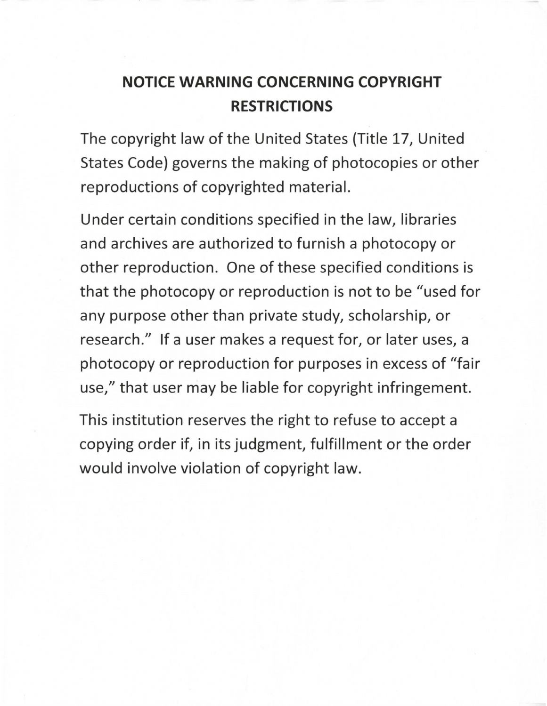# **NOTICE WARNING CONCERNING COPYRIGHT RESTRICTIONS**

The copyright law of the United States (Title 17, United States Code) governs the making of photocopies or other reproductions of copyrighted material.

Under certain conditions specified in the law, libraries and archives are authorized to furnish a photocopy or other reproduction. One of these specified conditions is that the photocopy or reproduction is not to be "used for any purpose other than private study, scholarship, or research." If a user makes a request for, or later uses, a photocopy or reproduction for purposes in excess of "fair use," that user may be liable for copyright infringement.

This institution reserves the right to refuse to accept a copying order if, in its judgment, fulfillment or the order would involve violation of copyright law.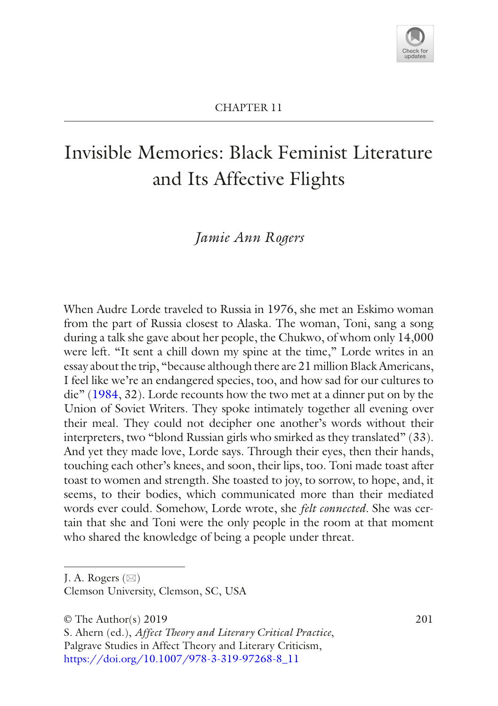

## Invisible Memories: Black Feminist Literature and Its Affective Flights

#### *Jamie Ann Rogers*

When Audre Lorde traveled to Russia in 1976, she met an Eskimo woman from the part of Russia closest to Alaska. The woman, Toni, sang a song during a talk she gave about her people, the Chukwo, of whom only 14,000 were left. "It sent a chill down my spine at the time," Lorde writes in an essay about the trip, "because although there are 21 million Black Americans, I feel like we're an endangered species, too, and how sad for our cultures to die" (1984, 32). Lorde recounts how the two met at a dinner put on by the Union of Soviet Writers. They spoke intimately together all evening over their meal. They could not decipher one another's words without their interpreters, two "blond Russian girls who smirked as they translated" (33). And yet they made love, Lorde says. Through their eyes, then their hands, touching each other's knees, and soon, their lips, too. Toni made toast after toast to women and strength. She toasted to joy, to sorrow, to hope, and, it seems, to their bodies, which communicated more than their mediated words ever could. Somehow, Lorde wrote, she *felt connected.* She was certain that she and Toni were the only people in the room at that moment who shared the knowledge of being a people under threat.

J. A. Rogers  $(\boxtimes)$ 

Clemson University, Clemson, SC, USA

 $\oslash$  The Author(s) 2019 201

S. Ahern (ed.), *Affect Theory and Literary Critical Practice*, Palgrave Studies in Affect Theory and Literary Criticism, [https://doi.org/10.1007/978-3-319-97268-8\\_11](https://doi.org/10.1007/978-3-319-97268-8_11)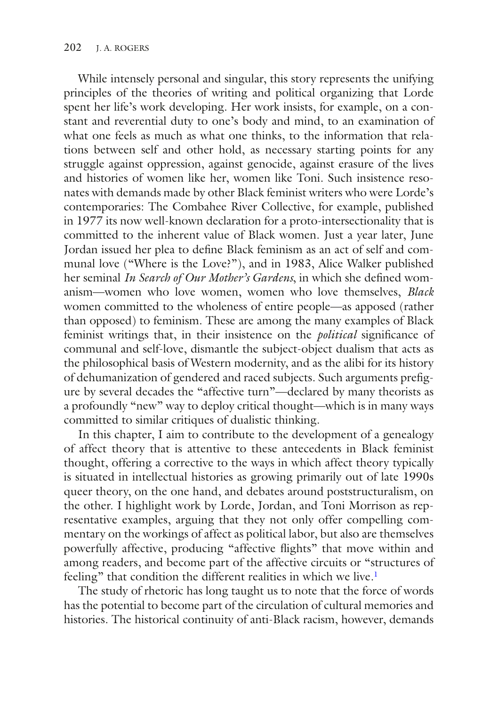While intensely personal and singular, this story represents the unifying principles of the theories of writing and political organizing that Lorde spent her life's work developing. Her work insists, for example, on a constant and reverential duty to one's body and mind, to an examination of what one feels as much as what one thinks, to the information that relations between self and other hold, as necessary starting points for any struggle against oppression, against genocide, against erasure of the lives and histories of women like her, women like Toni. Such insistence resonates with demands made by other Black feminist writers who were Lorde's contemporaries: The Combahee River Collective, for example, published in 1977 its now well-known declaration for a proto-intersectionality that is committed to the inherent value of Black women. Just a year later, June Jordan issued her plea to define Black feminism as an act of self and communal love ("Where is the Love?"), and in 1983, Alice Walker published her seminal *In Search of Our Mother's Gardens*, in which she defined womanism—women who love women, women who love themselves, *Black* women committed to the wholeness of entire people—as apposed (rather than opposed) to feminism. These are among the many examples of Black feminist writings that, in their insistence on the *political* significance of communal and self-love, dismantle the subject-object dualism that acts as the philosophical basis of Western modernity, and as the alibi for its history of dehumanization of gendered and raced subjects. Such arguments prefigure by several decades the "affective turn"—declared by many theorists as a profoundly "new" way to deploy critical thought—which is in many ways committed to similar critiques of dualistic thinking.

In this chapter, I aim to contribute to the development of a genealogy of affect theory that is attentive to these antecedents in Black feminist thought, offering a corrective to the ways in which affect theory typically is situated in intellectual histories as growing primarily out of late 1990s queer theory, on the one hand, and debates around poststructuralism, on the other. I highlight work by Lorde, Jordan, and Toni Morrison as representative examples, arguing that they not only offer compelling commentary on the workings of affect as political labor, but also are themselves powerfully affective, producing "affective flights" that move within and among readers, and become part of the affective circuits or "structures of feeling" that condition the different realities in which we live.<sup>1</sup>

The study of rhetoric has long taught us to note that the force of words has the potential to become part of the circulation of cultural memories and histories. The historical continuity of anti-Black racism, however, demands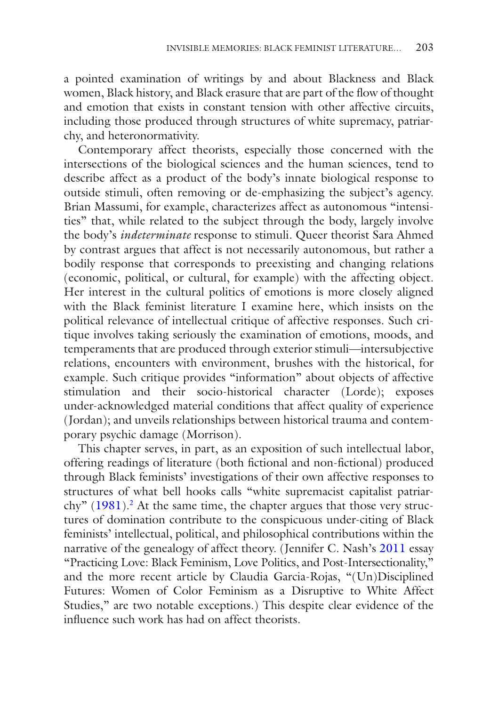a pointed examination of writings by and about Blackness and Black women, Black history, and Black erasure that are part of the flow of thought and emotion that exists in constant tension with other affective circuits, including those produced through structures of white supremacy, patriarchy, and heteronormativity.

Contemporary affect theorists, especially those concerned with the intersections of the biological sciences and the human sciences, tend to describe affect as a product of the body's innate biological response to outside stimuli, often removing or de-emphasizing the subject's agency. Brian Massumi, for example, characterizes affect as autonomous "intensities" that, while related to the subject through the body, largely involve the body's *indeterminate* response to stimuli. Queer theorist Sara Ahmed by contrast argues that affect is not necessarily autonomous, but rather a bodily response that corresponds to preexisting and changing relations (economic, political, or cultural, for example) with the affecting object. Her interest in the cultural politics of emotions is more closely aligned with the Black feminist literature I examine here, which insists on the political relevance of intellectual critique of affective responses. Such critique involves taking seriously the examination of emotions, moods, and temperaments that are produced through exterior stimuli—intersubjective relations, encounters with environment, brushes with the historical, for example. Such critique provides "information" about objects of affective stimulation and their socio-historical character (Lorde); exposes under-acknowledged material conditions that affect quality of experience (Jordan); and unveils relationships between historical trauma and contemporary psychic damage (Morrison).

This chapter serves, in part, as an exposition of such intellectual labor, offering readings of literature (both fictional and non-fictional) produced through Black feminists' investigations of their own affective responses to structures of what bell hooks calls "white supremacist capitalist patriar- $\text{chv}^{\prime\prime}$  (1981).<sup>2</sup> At the same time, the chapter argues that those very structures of domination contribute to the conspicuous under-citing of Black feminists' intellectual, political, and philosophical contributions within the narrative of the genealogy of affect theory. (Jennifer C. Nash's 2011 essay "Practicing Love: Black Feminism, Love Politics, and Post-Intersectionality," and the more recent article by Claudia Garcia-Rojas, "(Un)Disciplined Futures: Women of Color Feminism as a Disruptive to White Affect Studies," are two notable exceptions.) This despite clear evidence of the influence such work has had on affect theorists.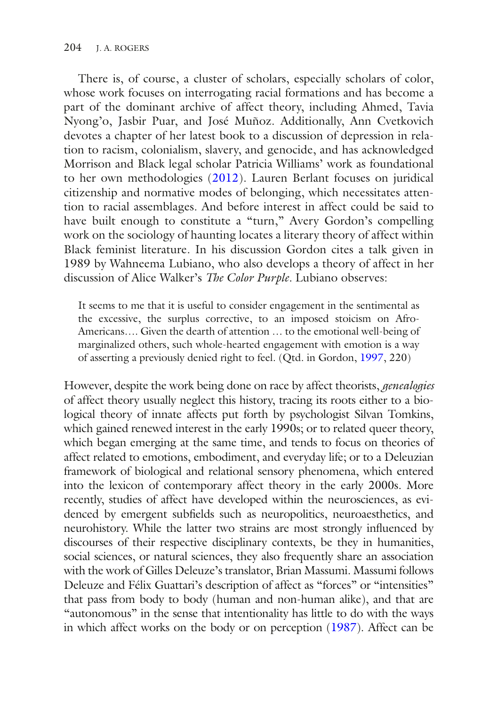There is, of course, a cluster of scholars, especially scholars of color, whose work focuses on interrogating racial formations and has become a part of the dominant archive of affect theory, including Ahmed, Tavia Nyong'o, Jasbir Puar, and José Muñoz. Additionally, Ann Cvetkovich devotes a chapter of her latest book to a discussion of depression in relation to racism, colonialism, slavery, and genocide, and has acknowledged Morrison and Black legal scholar Patricia Williams' work as foundational to her own methodologies (2012). Lauren Berlant focuses on juridical citizenship and normative modes of belonging, which necessitates attention to racial assemblages. And before interest in affect could be said to have built enough to constitute a "turn," Avery Gordon's compelling work on the sociology of haunting locates a literary theory of affect within Black feminist literature. In his discussion Gordon cites a talk given in 1989 by Wahneema Lubiano, who also develops a theory of affect in her discussion of Alice Walker's *The Color Purple.* Lubiano observes:

It seems to me that it is useful to consider engagement in the sentimental as the excessive, the surplus corrective, to an imposed stoicism on Afro-Americans…. Given the dearth of attention … to the emotional well-being of marginalized others, such whole-hearted engagement with emotion is a way of asserting a previously denied right to feel. (Qtd. in Gordon, 1997, 220)

However, despite the work being done on race by affect theorists, *genealogies* of affect theory usually neglect this history, tracing its roots either to a biological theory of innate affects put forth by psychologist Silvan Tomkins, which gained renewed interest in the early 1990s; or to related queer theory, which began emerging at the same time, and tends to focus on theories of affect related to emotions, embodiment, and everyday life; or to a Deleuzian framework of biological and relational sensory phenomena, which entered into the lexicon of contemporary affect theory in the early 2000s. More recently, studies of affect have developed within the neurosciences, as evidenced by emergent subfields such as neuropolitics, neuroaesthetics, and neurohistory. While the latter two strains are most strongly influenced by discourses of their respective disciplinary contexts, be they in humanities, social sciences, or natural sciences, they also frequently share an association with the work of Gilles Deleuze's translator, Brian Massumi. Massumi follows Deleuze and Félix Guattari's description of affect as "forces" or "intensities" that pass from body to body (human and non-human alike), and that are "autonomous" in the sense that intentionality has little to do with the ways in which affect works on the body or on perception (1987). Affect can be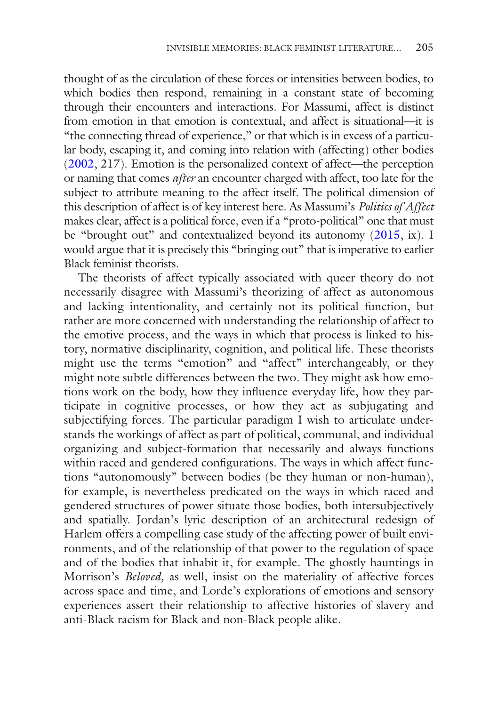thought of as the circulation of these forces or intensities between bodies, to which bodies then respond, remaining in a constant state of becoming through their encounters and interactions. For Massumi, affect is distinct from emotion in that emotion is contextual, and affect is situational—it is "the connecting thread of experience," or that which is in excess of a particular body, escaping it, and coming into relation with (affecting) other bodies (2002, 217). Emotion is the personalized context of affect—the perception or naming that comes *after* an encounter charged with affect, too late for the subject to attribute meaning to the affect itself. The political dimension of this description of affect is of key interest here. As Massumi's *Politics of Affect* makes clear, affect is a political force, even if a "proto-political" one that must be "brought out" and contextualized beyond its autonomy (2015, ix). I would argue that it is precisely this "bringing out" that is imperative to earlier Black feminist theorists.

The theorists of affect typically associated with queer theory do not necessarily disagree with Massumi's theorizing of affect as autonomous and lacking intentionality, and certainly not its political function, but rather are more concerned with understanding the relationship of affect to the emotive process, and the ways in which that process is linked to history, normative disciplinarity, cognition, and political life. These theorists might use the terms "emotion" and "affect" interchangeably, or they might note subtle differences between the two. They might ask how emotions work on the body, how they influence everyday life, how they participate in cognitive processes, or how they act as subjugating and subjectifying forces. The particular paradigm I wish to articulate understands the workings of affect as part of political, communal, and individual organizing and subject-formation that necessarily and always functions within raced and gendered configurations. The ways in which affect functions "autonomously" between bodies (be they human or non-human), for example, is nevertheless predicated on the ways in which raced and gendered structures of power situate those bodies, both intersubjectively and spatially. Jordan's lyric description of an architectural redesign of Harlem offers a compelling case study of the affecting power of built environments, and of the relationship of that power to the regulation of space and of the bodies that inhabit it, for example. The ghostly hauntings in Morrison's *Beloved,* as well, insist on the materiality of affective forces across space and time, and Lorde's explorations of emotions and sensory experiences assert their relationship to affective histories of slavery and anti-Black racism for Black and non-Black people alike.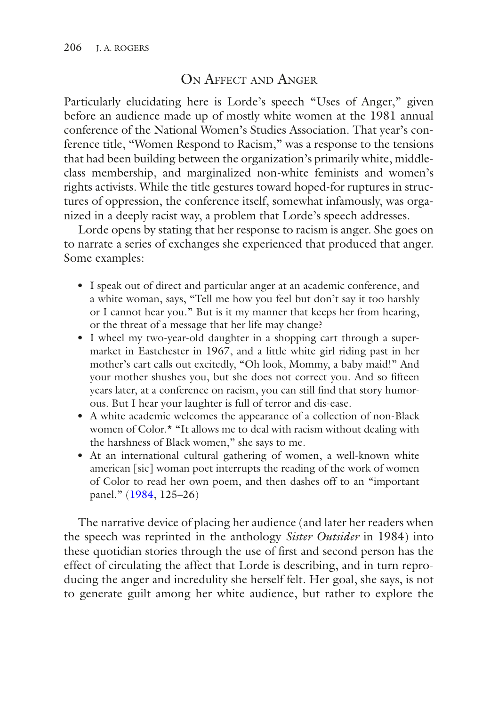### ON AFFECT AND ANGER

Particularly elucidating here is Lorde's speech "Uses of Anger," given before an audience made up of mostly white women at the 1981 annual conference of the National Women's Studies Association. That year's conference title, "Women Respond to Racism," was a response to the tensions that had been building between the organization's primarily white, middleclass membership, and marginalized non-white feminists and women's rights activists. While the title gestures toward hoped-for ruptures in structures of oppression, the conference itself, somewhat infamously, was organized in a deeply racist way, a problem that Lorde's speech addresses.

Lorde opens by stating that her response to racism is anger. She goes on to narrate a series of exchanges she experienced that produced that anger. Some examples:

- I speak out of direct and particular anger at an academic conference, and a white woman, says, "Tell me how you feel but don't say it too harshly or I cannot hear you." But is it my manner that keeps her from hearing, or the threat of a message that her life may change?
- I wheel my two-year-old daughter in a shopping cart through a supermarket in Eastchester in 1967, and a little white girl riding past in her mother's cart calls out excitedly, "Oh look, Mommy, a baby maid!" And your mother shushes you, but she does not correct you. And so fifteen years later, at a conference on racism, you can still find that story humorous. But I hear your laughter is full of terror and dis-ease.
- A white academic welcomes the appearance of a collection of non-Black women of Color.\* "It allows me to deal with racism without dealing with the harshness of Black women," she says to me.
- At an international cultural gathering of women, a well-known white american [sic] woman poet interrupts the reading of the work of women of Color to read her own poem, and then dashes off to an "important panel." (1984, 125–26)

The narrative device of placing her audience (and later her readers when the speech was reprinted in the anthology *Sister Outsider* in 1984) into these quotidian stories through the use of first and second person has the effect of circulating the affect that Lorde is describing, and in turn reproducing the anger and incredulity she herself felt. Her goal, she says, is not to generate guilt among her white audience, but rather to explore the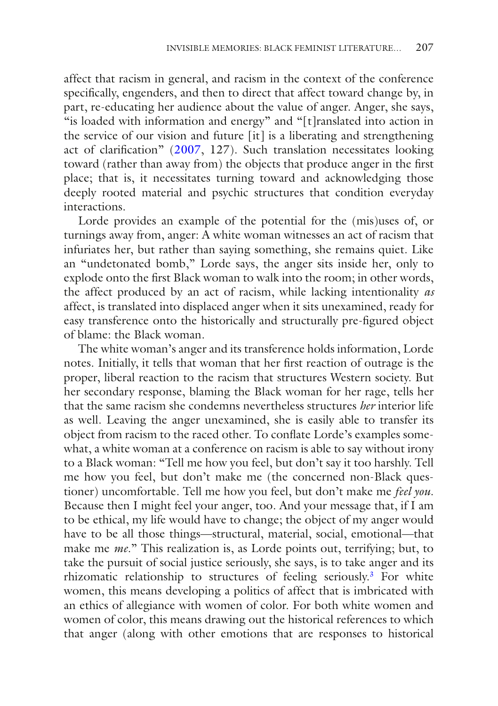affect that racism in general, and racism in the context of the conference specifically, engenders, and then to direct that affect toward change by, in part, re-educating her audience about the value of anger. Anger, she says, "is loaded with information and energy" and "[t]ranslated into action in the service of our vision and future [it] is a liberating and strengthening act of clarification" (2007, 127). Such translation necessitates looking toward (rather than away from) the objects that produce anger in the first place; that is, it necessitates turning toward and acknowledging those deeply rooted material and psychic structures that condition everyday interactions.

Lorde provides an example of the potential for the (mis)uses of, or turnings away from, anger: A white woman witnesses an act of racism that infuriates her, but rather than saying something, she remains quiet. Like an "undetonated bomb," Lorde says, the anger sits inside her, only to explode onto the first Black woman to walk into the room; in other words, the affect produced by an act of racism, while lacking intentionality *as* affect, is translated into displaced anger when it sits unexamined, ready for easy transference onto the historically and structurally pre-figured object of blame: the Black woman.

The white woman's anger and its transference holds information, Lorde notes. Initially, it tells that woman that her first reaction of outrage is the proper, liberal reaction to the racism that structures Western society. But her secondary response, blaming the Black woman for her rage, tells her that the same racism she condemns nevertheless structures *her* interior life as well. Leaving the anger unexamined, she is easily able to transfer its object from racism to the raced other. To conflate Lorde's examples somewhat, a white woman at a conference on racism is able to say without irony to a Black woman: "Tell me how you feel, but don't say it too harshly. Tell me how you feel, but don't make me (the concerned non-Black questioner) uncomfortable. Tell me how you feel, but don't make me *feel you*. Because then I might feel your anger, too. And your message that, if I am to be ethical, my life would have to change; the object of my anger would have to be all those things—structural, material, social, emotional—that make me *me*." This realization is, as Lorde points out, terrifying; but, to take the pursuit of social justice seriously, she says, is to take anger and its rhizomatic relationship to structures of feeling seriously.3 For white women, this means developing a politics of affect that is imbricated with an ethics of allegiance with women of color. For both white women and women of color, this means drawing out the historical references to which that anger (along with other emotions that are responses to historical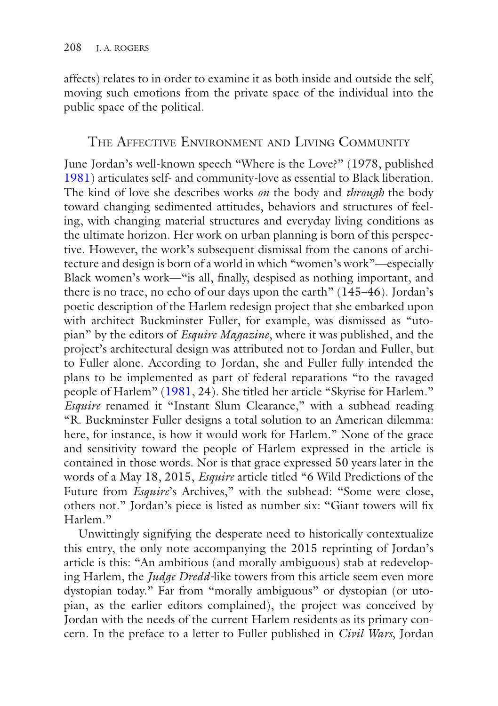affects) relates to in order to examine it as both inside and outside the self, moving such emotions from the private space of the individual into the public space of the political.

### The Affective Environment and Living Community

June Jordan's well-known speech "Where is the Love?" (1978, published 1981) articulates self- and community-love as essential to Black liberation. The kind of love she describes works *on* the body and *through* the body toward changing sedimented attitudes, behaviors and structures of feeling, with changing material structures and everyday living conditions as the ultimate horizon. Her work on urban planning is born of this perspective. However, the work's subsequent dismissal from the canons of architecture and design is born of a world in which "women's work"—especially Black women's work—"is all, finally, despised as nothing important, and there is no trace, no echo of our days upon the earth" (145–46). Jordan's poetic description of the Harlem redesign project that she embarked upon with architect Buckminster Fuller, for example, was dismissed as "utopian" by the editors of *Esquire Magazine*, where it was published, and the project's architectural design was attributed not to Jordan and Fuller, but to Fuller alone. According to Jordan, she and Fuller fully intended the plans to be implemented as part of federal reparations "to the ravaged people of Harlem" (1981, 24). She titled her article "Skyrise for Harlem." *Esquire* renamed it "Instant Slum Clearance," with a subhead reading "R. Buckminster Fuller designs a total solution to an American dilemma: here, for instance, is how it would work for Harlem." None of the grace and sensitivity toward the people of Harlem expressed in the article is contained in those words. Nor is that grace expressed 50 years later in the words of a May 18, 2015, *Esquire* article titled "6 Wild Predictions of the Future from *Esquire*'s Archives," with the subhead: "Some were close, others not." Jordan's piece is listed as number six: "Giant towers will fix Harlem<sup>"</sup>

Unwittingly signifying the desperate need to historically contextualize this entry, the only note accompanying the 2015 reprinting of Jordan's article is this: "An ambitious (and morally ambiguous) stab at redeveloping Harlem, the *Judge Dredd-*like towers from this article seem even more dystopian today." Far from "morally ambiguous" or dystopian (or utopian, as the earlier editors complained), the project was conceived by Jordan with the needs of the current Harlem residents as its primary concern. In the preface to a letter to Fuller published in *Civil Wars*, Jordan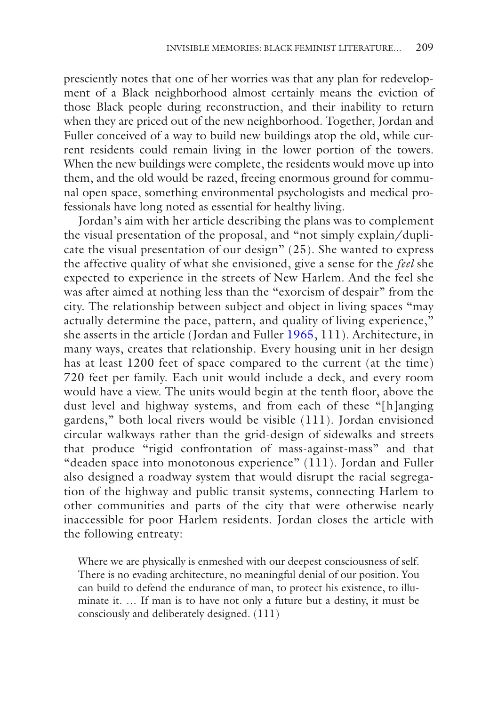presciently notes that one of her worries was that any plan for redevelopment of a Black neighborhood almost certainly means the eviction of those Black people during reconstruction, and their inability to return when they are priced out of the new neighborhood. Together, Jordan and Fuller conceived of a way to build new buildings atop the old, while current residents could remain living in the lower portion of the towers. When the new buildings were complete, the residents would move up into them, and the old would be razed, freeing enormous ground for communal open space, something environmental psychologists and medical professionals have long noted as essential for healthy living.

Jordan's aim with her article describing the plans was to complement the visual presentation of the proposal, and "not simply explain/duplicate the visual presentation of our design" (25). She wanted to express the affective quality of what she envisioned, give a sense for the *feel* she expected to experience in the streets of New Harlem. And the feel she was after aimed at nothing less than the "exorcism of despair" from the city. The relationship between subject and object in living spaces "may actually determine the pace, pattern, and quality of living experience," she asserts in the article (Jordan and Fuller 1965, 111). Architecture, in many ways, creates that relationship. Every housing unit in her design has at least 1200 feet of space compared to the current (at the time) 720 feet per family. Each unit would include a deck, and every room would have a view. The units would begin at the tenth floor, above the dust level and highway systems, and from each of these "[h]anging gardens," both local rivers would be visible (111). Jordan envisioned circular walkways rather than the grid-design of sidewalks and streets that produce "rigid confrontation of mass-against-mass" and that "deaden space into monotonous experience" (111). Jordan and Fuller also designed a roadway system that would disrupt the racial segregation of the highway and public transit systems, connecting Harlem to other communities and parts of the city that were otherwise nearly inaccessible for poor Harlem residents. Jordan closes the article with the following entreaty:

Where we are physically is enmeshed with our deepest consciousness of self. There is no evading architecture, no meaningful denial of our position. You can build to defend the endurance of man, to protect his existence, to illuminate it. … If man is to have not only a future but a destiny, it must be consciously and deliberately designed. (111)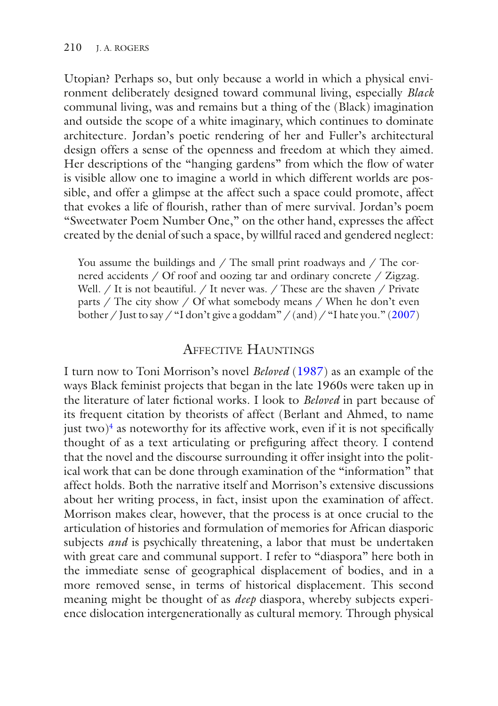Utopian? Perhaps so, but only because a world in which a physical environment deliberately designed toward communal living, especially *Black* communal living, was and remains but a thing of the (Black) imagination and outside the scope of a white imaginary, which continues to dominate architecture. Jordan's poetic rendering of her and Fuller's architectural design offers a sense of the openness and freedom at which they aimed. Her descriptions of the "hanging gardens" from which the flow of water is visible allow one to imagine a world in which different worlds are possible, and offer a glimpse at the affect such a space could promote, affect that evokes a life of flourish, rather than of mere survival. Jordan's poem "Sweetwater Poem Number One," on the other hand, expresses the affect created by the denial of such a space, by willful raced and gendered neglect:

You assume the buildings and / The small print roadways and / The cornered accidents / Of roof and oozing tar and ordinary concrete / Zigzag. Well. / It is not beautiful. / It never was. / These are the shaven / Private parts / The city show / Of what somebody means / When he don't even bother / Just to say / "I don't give a goddam" / (and) / "I hate you." (2007)

#### Affective Hauntings

I turn now to Toni Morrison's novel *Beloved* (1987) as an example of the ways Black feminist projects that began in the late 1960s were taken up in the literature of later fictional works. I look to *Beloved* in part because of its frequent citation by theorists of affect (Berlant and Ahmed, to name just two)<sup>4</sup> as noteworthy for its affective work, even if it is not specifically thought of as a text articulating or prefiguring affect theory. I contend that the novel and the discourse surrounding it offer insight into the political work that can be done through examination of the "information" that affect holds. Both the narrative itself and Morrison's extensive discussions about her writing process, in fact, insist upon the examination of affect. Morrison makes clear, however, that the process is at once crucial to the articulation of histories and formulation of memories for African diasporic subjects *and* is psychically threatening, a labor that must be undertaken with great care and communal support. I refer to "diaspora" here both in the immediate sense of geographical displacement of bodies, and in a more removed sense, in terms of historical displacement. This second meaning might be thought of as *deep* diaspora, whereby subjects experience dislocation intergenerationally as cultural memory. Through physical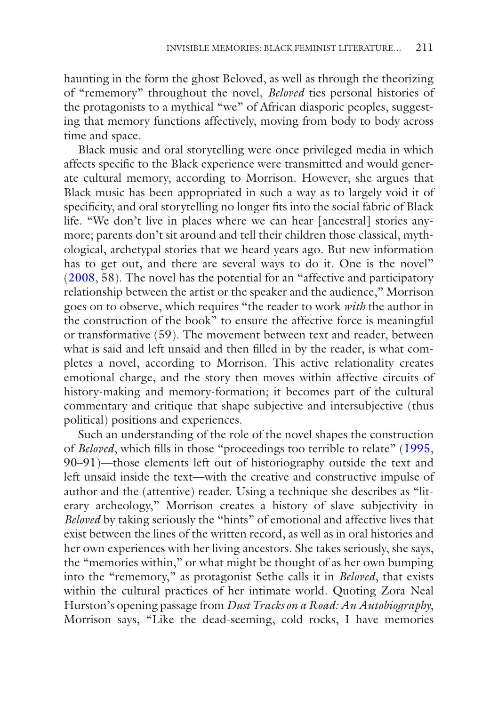haunting in the form the ghost Beloved, as well as through the theorizing of "rememory" throughout the novel, *Beloved* ties personal histories of the protagonists to a mythical "we" of African diasporic peoples, suggesting that memory functions affectively, moving from body to body across time and space.

Black music and oral storytelling were once privileged media in which affects specific to the Black experience were transmitted and would generate cultural memory, according to Morrison. However, she argues that Black music has been appropriated in such a way as to largely void it of specificity, and oral storytelling no longer fits into the social fabric of Black life. "We don't live in places where we can hear [ancestral] stories anymore; parents don't sit around and tell their children those classical, mythological, archetypal stories that we heard years ago. But new information has to get out, and there are several ways to do it. One is the novel" (2008, 58). The novel has the potential for an "affective and participatory relationship between the artist or the speaker and the audience," Morrison goes on to observe, which requires "the reader to work *with* the author in the construction of the book" to ensure the affective force is meaningful or transformative (59). The movement between text and reader, between what is said and left unsaid and then filled in by the reader, is what completes a novel, according to Morrison. This active relationality creates emotional charge, and the story then moves within affective circuits of history-making and memory-formation; it becomes part of the cultural commentary and critique that shape subjective and intersubjective (thus political) positions and experiences.

Such an understanding of the role of the novel shapes the construction of *Beloved*, which fills in those "proceedings too terrible to relate" (1995, 90–91)—those elements left out of historiography outside the text and left unsaid inside the text—with the creative and constructive impulse of author and the (attentive) reader. Using a technique she describes as "literary archeology," Morrison creates a history of slave subjectivity in *Beloved* by taking seriously the "hints" of emotional and affective lives that exist between the lines of the written record, as well as in oral histories and her own experiences with her living ancestors. She takes seriously, she says, the "memories within," or what might be thought of as her own bumping into the "rememory," as protagonist Sethe calls it in *Beloved*, that exists within the cultural practices of her intimate world. Quoting Zora Neal Hurston's opening passage from *Dust Tracks on a Road: An Autobiography*, Morrison says, "Like the dead-seeming, cold rocks, I have memories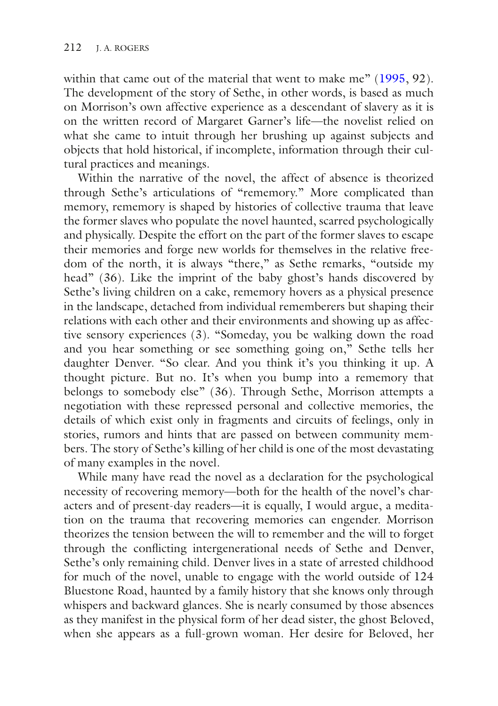within that came out of the material that went to make me" (1995, 92). The development of the story of Sethe, in other words, is based as much on Morrison's own affective experience as a descendant of slavery as it is on the written record of Margaret Garner's life—the novelist relied on what she came to intuit through her brushing up against subjects and objects that hold historical, if incomplete, information through their cultural practices and meanings.

Within the narrative of the novel, the affect of absence is theorized through Sethe's articulations of "rememory." More complicated than memory, rememory is shaped by histories of collective trauma that leave the former slaves who populate the novel haunted, scarred psychologically and physically. Despite the effort on the part of the former slaves to escape their memories and forge new worlds for themselves in the relative freedom of the north, it is always "there," as Sethe remarks, "outside my head" (36). Like the imprint of the baby ghost's hands discovered by Sethe's living children on a cake, rememory hovers as a physical presence in the landscape, detached from individual rememberers but shaping their relations with each other and their environments and showing up as affective sensory experiences (3). "Someday, you be walking down the road and you hear something or see something going on," Sethe tells her daughter Denver. "So clear. And you think it's you thinking it up. A thought picture. But no. It's when you bump into a rememory that belongs to somebody else" (36). Through Sethe, Morrison attempts a negotiation with these repressed personal and collective memories, the details of which exist only in fragments and circuits of feelings, only in stories, rumors and hints that are passed on between community members. The story of Sethe's killing of her child is one of the most devastating of many examples in the novel.

While many have read the novel as a declaration for the psychological necessity of recovering memory—both for the health of the novel's characters and of present-day readers—it is equally, I would argue, a meditation on the trauma that recovering memories can engender. Morrison theorizes the tension between the will to remember and the will to forget through the conflicting intergenerational needs of Sethe and Denver, Sethe's only remaining child. Denver lives in a state of arrested childhood for much of the novel, unable to engage with the world outside of 124 Bluestone Road, haunted by a family history that she knows only through whispers and backward glances. She is nearly consumed by those absences as they manifest in the physical form of her dead sister, the ghost Beloved, when she appears as a full-grown woman. Her desire for Beloved, her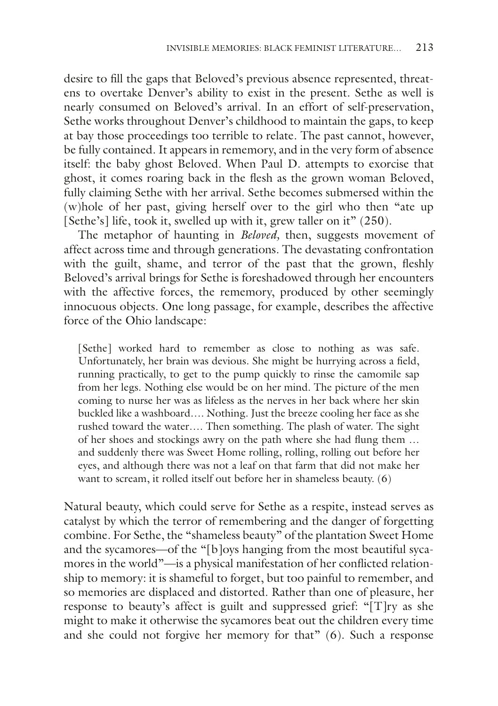desire to fill the gaps that Beloved's previous absence represented, threatens to overtake Denver's ability to exist in the present. Sethe as well is nearly consumed on Beloved's arrival. In an effort of self-preservation, Sethe works throughout Denver's childhood to maintain the gaps, to keep at bay those proceedings too terrible to relate. The past cannot, however, be fully contained. It appears in rememory, and in the very form of absence itself: the baby ghost Beloved. When Paul D. attempts to exorcise that ghost, it comes roaring back in the flesh as the grown woman Beloved, fully claiming Sethe with her arrival. Sethe becomes submersed within the (w)hole of her past, giving herself over to the girl who then "ate up [Sethe's] life, took it, swelled up with it, grew taller on it" (250).

The metaphor of haunting in *Beloved,* then, suggests movement of affect across time and through generations. The devastating confrontation with the guilt, shame, and terror of the past that the grown, fleshly Beloved's arrival brings for Sethe is foreshadowed through her encounters with the affective forces, the rememory, produced by other seemingly innocuous objects. One long passage, for example, describes the affective force of the Ohio landscape:

[Sethe] worked hard to remember as close to nothing as was safe. Unfortunately, her brain was devious. She might be hurrying across a field, running practically, to get to the pump quickly to rinse the camomile sap from her legs. Nothing else would be on her mind. The picture of the men coming to nurse her was as lifeless as the nerves in her back where her skin buckled like a washboard…. Nothing. Just the breeze cooling her face as she rushed toward the water…. Then something. The plash of water. The sight of her shoes and stockings awry on the path where she had flung them … and suddenly there was Sweet Home rolling, rolling, rolling out before her eyes, and although there was not a leaf on that farm that did not make her want to scream, it rolled itself out before her in shameless beauty. (6)

Natural beauty, which could serve for Sethe as a respite, instead serves as catalyst by which the terror of remembering and the danger of forgetting combine. For Sethe, the "shameless beauty" of the plantation Sweet Home and the sycamores—of the "[b]oys hanging from the most beautiful sycamores in the world"—is a physical manifestation of her conflicted relationship to memory: it is shameful to forget, but too painful to remember, and so memories are displaced and distorted. Rather than one of pleasure, her response to beauty's affect is guilt and suppressed grief: "[T]ry as she might to make it otherwise the sycamores beat out the children every time and she could not forgive her memory for that" (6). Such a response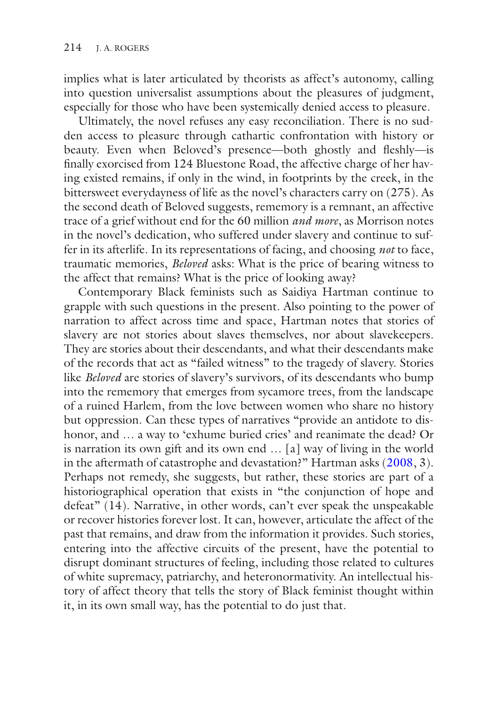implies what is later articulated by theorists as affect's autonomy, calling into question universalist assumptions about the pleasures of judgment, especially for those who have been systemically denied access to pleasure.

Ultimately, the novel refuses any easy reconciliation. There is no sudden access to pleasure through cathartic confrontation with history or beauty. Even when Beloved's presence—both ghostly and fleshly—is finally exorcised from 124 Bluestone Road, the affective charge of her having existed remains, if only in the wind, in footprints by the creek, in the bittersweet everydayness of life as the novel's characters carry on (275). As the second death of Beloved suggests, rememory is a remnant, an affective trace of a grief without end for the 60 million *and more*, as Morrison notes in the novel's dedication, who suffered under slavery and continue to suffer in its afterlife. In its representations of facing, and choosing *not* to face, traumatic memories, *Beloved* asks: What is the price of bearing witness to the affect that remains? What is the price of looking away?

Contemporary Black feminists such as Saidiya Hartman continue to grapple with such questions in the present. Also pointing to the power of narration to affect across time and space, Hartman notes that stories of slavery are not stories about slaves themselves, nor about slavekeepers. They are stories about their descendants, and what their descendants make of the records that act as "failed witness" to the tragedy of slavery. Stories like *Beloved* are stories of slavery's survivors, of its descendants who bump into the rememory that emerges from sycamore trees, from the landscape of a ruined Harlem, from the love between women who share no history but oppression. Can these types of narratives "provide an antidote to dishonor, and … a way to 'exhume buried cries' and reanimate the dead? Or is narration its own gift and its own end … [a] way of living in the world in the aftermath of catastrophe and devastation?" Hartman asks (2008, 3). Perhaps not remedy, she suggests, but rather, these stories are part of a historiographical operation that exists in "the conjunction of hope and defeat" (14). Narrative, in other words, can't ever speak the unspeakable or recover histories forever lost. It can, however, articulate the affect of the past that remains, and draw from the information it provides. Such stories, entering into the affective circuits of the present, have the potential to disrupt dominant structures of feeling, including those related to cultures of white supremacy, patriarchy, and heteronormativity. An intellectual history of affect theory that tells the story of Black feminist thought within it, in its own small way, has the potential to do just that.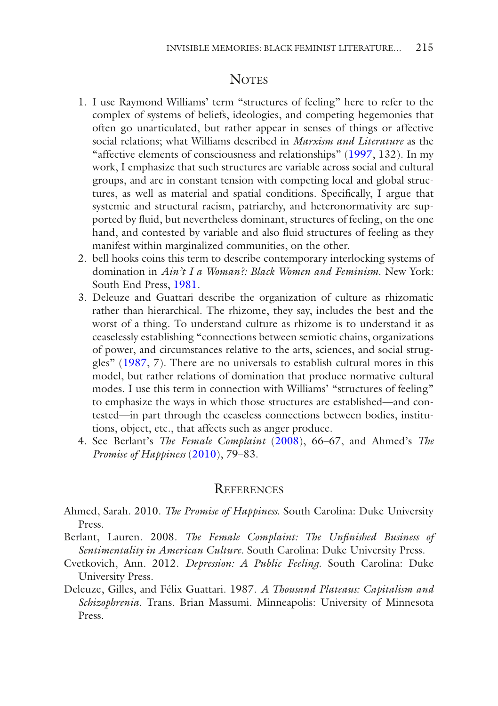#### **NOTES**

- 1. I use Raymond Williams' term "structures of feeling" here to refer to the complex of systems of beliefs, ideologies, and competing hegemonies that often go unarticulated, but rather appear in senses of things or affective social relations; what Williams described in *Marxism and Literature* as the "affective elements of consciousness and relationships" (1997, 132). In my work, I emphasize that such structures are variable across social and cultural groups, and are in constant tension with competing local and global structures, as well as material and spatial conditions. Specifically, I argue that systemic and structural racism, patriarchy, and heteronormativity are supported by fluid, but nevertheless dominant, structures of feeling, on the one hand, and contested by variable and also fluid structures of feeling as they manifest within marginalized communities, on the other.
- 2. bell hooks coins this term to describe contemporary interlocking systems of domination in *Ain't I a Woman?: Black Women and Feminism*. New York: South End Press, 1981.
- 3. Deleuze and Guattari describe the organization of culture as rhizomatic rather than hierarchical. The rhizome, they say, includes the best and the worst of a thing. To understand culture as rhizome is to understand it as ceaselessly establishing "connections between semiotic chains, organizations of power, and circumstances relative to the arts, sciences, and social struggles" (1987, 7). There are no universals to establish cultural mores in this model, but rather relations of domination that produce normative cultural modes. I use this term in connection with Williams' "structures of feeling" to emphasize the ways in which those structures are established—and contested—in part through the ceaseless connections between bodies, institutions, object, etc., that affects such as anger produce.
- 4. See Berlant's *The Female Complaint* (2008), 66–67, and Ahmed's *The Promise of Happiness* (2010), 79–83.

#### **REFERENCES**

- Ahmed, Sarah. 2010. *The Promise of Happiness*. South Carolina: Duke University Press.
- Berlant, Lauren. 2008. *The Female Complaint: The Unfinished Business of Sentimentality in American Culture*. South Carolina: Duke University Press.
- Cvetkovich, Ann. 2012. *Depression: A Public Feeling*. South Carolina: Duke University Press.
- Deleuze, Gilles, and Félix Guattari. 1987. *A Thousand Plateaus: Capitalism and Schizophrenia*. Trans. Brian Massumi. Minneapolis: University of Minnesota Press.